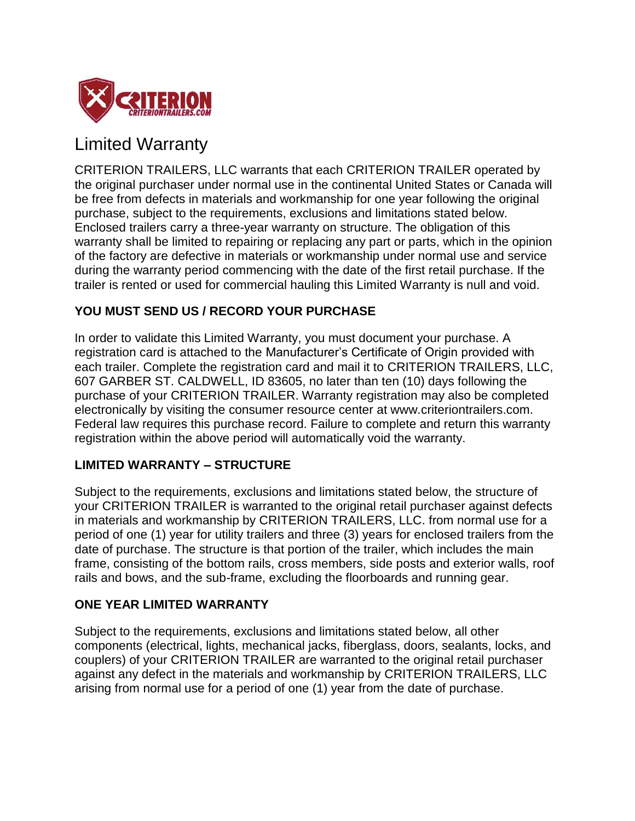

# Limited Warranty

CRITERION TRAILERS, LLC warrants that each CRITERION TRAILER operated by the original purchaser under normal use in the continental United States or Canada will be free from defects in materials and workmanship for one year following the original purchase, subject to the requirements, exclusions and limitations stated below. Enclosed trailers carry a three-year warranty on structure. The obligation of this warranty shall be limited to repairing or replacing any part or parts, which in the opinion of the factory are defective in materials or workmanship under normal use and service during the warranty period commencing with the date of the first retail purchase. If the trailer is rented or used for commercial hauling this Limited Warranty is null and void.

# **YOU MUST SEND US / RECORD YOUR PURCHASE**

In order to validate this Limited Warranty, you must document your purchase. A registration card is attached to the Manufacturer's Certificate of Origin provided with each trailer. Complete the registration card and mail it to CRITERION TRAILERS, LLC, 607 GARBER ST. CALDWELL, ID 83605, no later than ten (10) days following the purchase of your CRITERION TRAILER. Warranty registration may also be completed electronically by visiting the consumer resource center at www.criteriontrailers.com. Federal law requires this purchase record. Failure to complete and return this warranty registration within the above period will automatically void the warranty.

## **LIMITED WARRANTY – STRUCTURE**

Subject to the requirements, exclusions and limitations stated below, the structure of your CRITERION TRAILER is warranted to the original retail purchaser against defects in materials and workmanship by CRITERION TRAILERS, LLC. from normal use for a period of one (1) year for utility trailers and three (3) years for enclosed trailers from the date of purchase. The structure is that portion of the trailer, which includes the main frame, consisting of the bottom rails, cross members, side posts and exterior walls, roof rails and bows, and the sub-frame, excluding the floorboards and running gear.

## **ONE YEAR LIMITED WARRANTY**

Subject to the requirements, exclusions and limitations stated below, all other components (electrical, lights, mechanical jacks, fiberglass, doors, sealants, locks, and couplers) of your CRITERION TRAILER are warranted to the original retail purchaser against any defect in the materials and workmanship by CRITERION TRAILERS, LLC arising from normal use for a period of one (1) year from the date of purchase.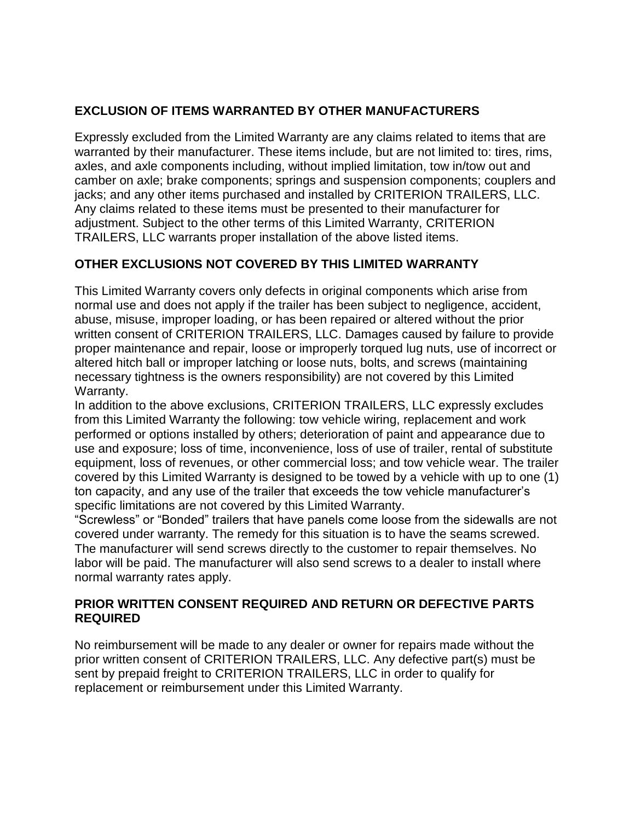## **EXCLUSION OF ITEMS WARRANTED BY OTHER MANUFACTURERS**

Expressly excluded from the Limited Warranty are any claims related to items that are warranted by their manufacturer. These items include, but are not limited to: tires, rims, axles, and axle components including, without implied limitation, tow in/tow out and camber on axle; brake components; springs and suspension components; couplers and jacks; and any other items purchased and installed by CRITERION TRAILERS, LLC. Any claims related to these items must be presented to their manufacturer for adjustment. Subject to the other terms of this Limited Warranty, CRITERION TRAILERS, LLC warrants proper installation of the above listed items.

# **OTHER EXCLUSIONS NOT COVERED BY THIS LIMITED WARRANTY**

This Limited Warranty covers only defects in original components which arise from normal use and does not apply if the trailer has been subject to negligence, accident, abuse, misuse, improper loading, or has been repaired or altered without the prior written consent of CRITERION TRAILERS, LLC. Damages caused by failure to provide proper maintenance and repair, loose or improperly torqued lug nuts, use of incorrect or altered hitch ball or improper latching or loose nuts, bolts, and screws (maintaining necessary tightness is the owners responsibility) are not covered by this Limited Warranty.

In addition to the above exclusions, CRITERION TRAILERS, LLC expressly excludes from this Limited Warranty the following: tow vehicle wiring, replacement and work performed or options installed by others; deterioration of paint and appearance due to use and exposure; loss of time, inconvenience, loss of use of trailer, rental of substitute equipment, loss of revenues, or other commercial loss; and tow vehicle wear. The trailer covered by this Limited Warranty is designed to be towed by a vehicle with up to one (1) ton capacity, and any use of the trailer that exceeds the tow vehicle manufacturer's specific limitations are not covered by this Limited Warranty.

"Screwless" or "Bonded" trailers that have panels come loose from the sidewalls are not covered under warranty. The remedy for this situation is to have the seams screwed. The manufacturer will send screws directly to the customer to repair themselves. No labor will be paid. The manufacturer will also send screws to a dealer to install where normal warranty rates apply.

## **PRIOR WRITTEN CONSENT REQUIRED AND RETURN OR DEFECTIVE PARTS REQUIRED**

No reimbursement will be made to any dealer or owner for repairs made without the prior written consent of CRITERION TRAILERS, LLC. Any defective part(s) must be sent by prepaid freight to CRITERION TRAILERS, LLC in order to qualify for replacement or reimbursement under this Limited Warranty.